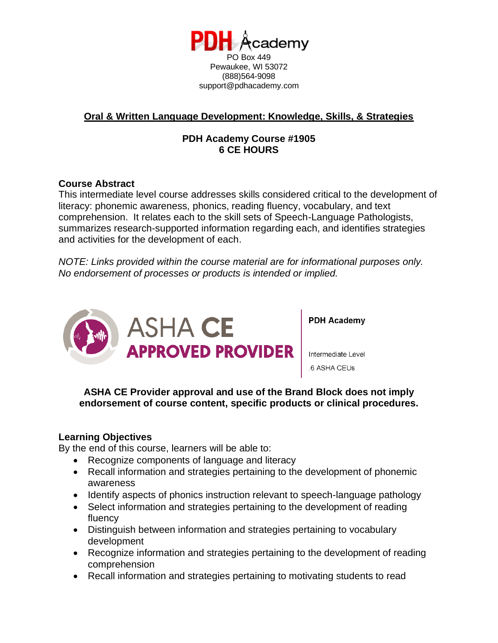

# **Oral & Written Language Development: Knowledge, Skills, & Strategies**

# **PDH Academy Course #1905 6 CE HOURS**

## **Course Abstract**

This intermediate level course addresses skills considered critical to the development of literacy: phonemic awareness, phonics, reading fluency, vocabulary, and text comprehension. It relates each to the skill sets of Speech-Language Pathologists, summarizes research-supported information regarding each, and identifies strategies and activities for the development of each.

*NOTE: Links provided within the course material are for informational purposes only. No endorsement of processes or products is intended or implied.*



**PDH Academy** 

Intermediate Level 6 ASHA CEUs

**ASHA CE Provider approval and use of the Brand Block does not imply endorsement of course content, specific products or clinical procedures.**

## **Learning Objectives**

By the end of this course, learners will be able to:

- Recognize components of language and literacy
- Recall information and strategies pertaining to the development of phonemic awareness
- Identify aspects of phonics instruction relevant to speech-language pathology
- Select information and strategies pertaining to the development of reading fluency
- Distinguish between information and strategies pertaining to vocabulary development
- Recognize information and strategies pertaining to the development of reading comprehension
- Recall information and strategies pertaining to motivating students to read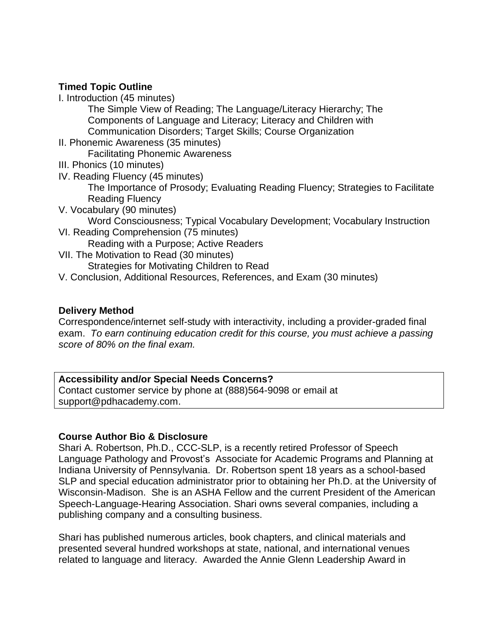## **Timed Topic Outline**

I. Introduction (45 minutes)

The Simple View of Reading; The Language/Literacy Hierarchy; The Components of Language and Literacy; Literacy and Children with Communication Disorders; Target Skills; Course Organization

- II. Phonemic Awareness (35 minutes) Facilitating Phonemic Awareness
- III. Phonics (10 minutes)
- IV. Reading Fluency (45 minutes)

The Importance of Prosody; Evaluating Reading Fluency; Strategies to Facilitate Reading Fluency

- V. Vocabulary (90 minutes) Word Consciousness; Typical Vocabulary Development; Vocabulary Instruction
- VI. Reading Comprehension (75 minutes) Reading with a Purpose; Active Readers
- VII. The Motivation to Read (30 minutes) Strategies for Motivating Children to Read
- V. Conclusion, Additional Resources, References, and Exam (30 minutes)

#### **Delivery Method**

Correspondence/internet self-study with interactivity, including a provider-graded final exam. *To earn continuing education credit for this course, you must achieve a passing score of 80% on the final exam.*

## **Accessibility and/or Special Needs Concerns?**

Contact customer service by phone at (888)564-9098 or email at support@pdhacademy.com.

#### **Course Author Bio & Disclosure**

Shari A. Robertson, Ph.D., CCC-SLP, is a recently retired Professor of Speech Language Pathology and Provost's Associate for Academic Programs and Planning at Indiana University of Pennsylvania. Dr. Robertson spent 18 years as a school-based SLP and special education administrator prior to obtaining her Ph.D. at the University of Wisconsin-Madison. She is an ASHA Fellow and the current President of the American Speech-Language-Hearing Association. Shari owns several companies, including a publishing company and a consulting business.

Shari has published numerous articles, book chapters, and clinical materials and presented several hundred workshops at state, national, and international venues related to language and literacy. Awarded the Annie Glenn Leadership Award in